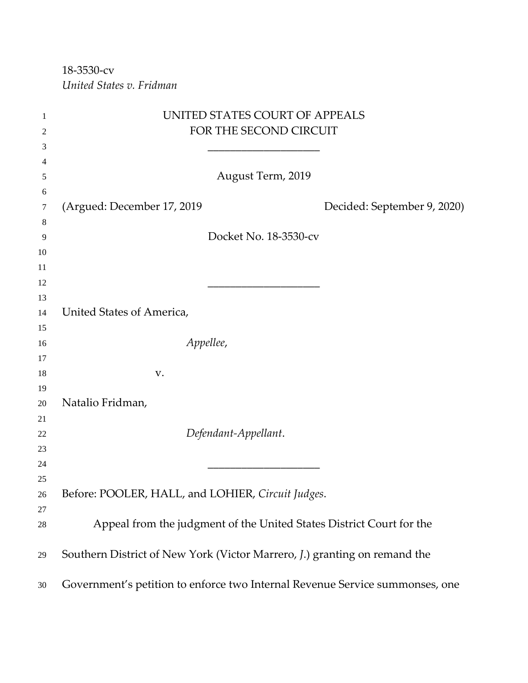18-3530-cv *United States v. Fridman*

| 1        | UNITED STATES COURT OF APPEALS                                               |
|----------|------------------------------------------------------------------------------|
| 2        | FOR THE SECOND CIRCUIT                                                       |
| 3        |                                                                              |
| 4        |                                                                              |
| 5        | August Term, 2019                                                            |
| 6        |                                                                              |
| 7        | (Argued: December 17, 2019)<br>Decided: September 9, 2020)                   |
| 8        |                                                                              |
| 9        | Docket No. 18-3530-cv                                                        |
| 10       |                                                                              |
| 11       |                                                                              |
| 12       |                                                                              |
| 13       |                                                                              |
| 14       | United States of America,                                                    |
| 15       |                                                                              |
| 16       | Appellee,                                                                    |
| 17       |                                                                              |
| 18       | V.                                                                           |
| 19       |                                                                              |
| 20       | Natalio Fridman,                                                             |
| 21       |                                                                              |
| 22       | Defendant-Appellant.                                                         |
| 23       |                                                                              |
| 24       |                                                                              |
| 25<br>26 |                                                                              |
| 27       | Before: POOLER, HALL, and LOHIER, Circuit Judges.                            |
| 28       | Appeal from the judgment of the United States District Court for the         |
|          |                                                                              |
| 29       | Southern District of New York (Victor Marrero, J.) granting on remand the    |
| 30       | Government's petition to enforce two Internal Revenue Service summonses, one |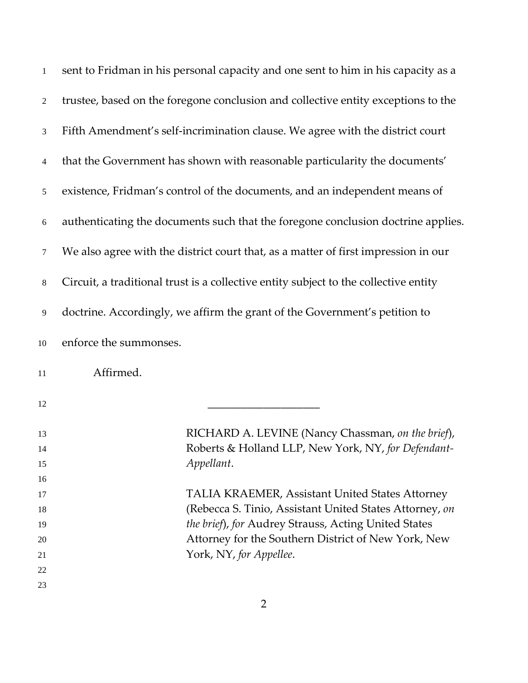| $\mathbf{1}$             | sent to Fridman in his personal capacity and one sent to him in his capacity as a    |
|--------------------------|--------------------------------------------------------------------------------------|
| $\mathbf{2}$             | trustee, based on the foregone conclusion and collective entity exceptions to the    |
| 3                        | Fifth Amendment's self-incrimination clause. We agree with the district court        |
| $\overline{\mathcal{A}}$ | that the Government has shown with reasonable particularity the documents'           |
| 5                        | existence, Fridman's control of the documents, and an independent means of           |
| $6\,$                    | authenticating the documents such that the foregone conclusion doctrine applies.     |
| 7                        | We also agree with the district court that, as a matter of first impression in our   |
| $8\,$                    | Circuit, a traditional trust is a collective entity subject to the collective entity |
| 9                        | doctrine. Accordingly, we affirm the grant of the Government's petition to           |
| 10                       | enforce the summonses.                                                               |
| 11                       | Affirmed.                                                                            |
| 12                       |                                                                                      |
| 13                       | RICHARD A. LEVINE (Nancy Chassman, on the brief),                                    |
| 14                       | Roberts & Holland LLP, New York, NY, for Defendant-                                  |
| 15                       | Appellant.                                                                           |
| 16                       |                                                                                      |
| 17                       | <b>TALIA KRAEMER, Assistant United States Attorney</b>                               |
| 18                       | (Rebecca S. Tinio, Assistant United States Attorney, on                              |
| 19                       | the brief), for Audrey Strauss, Acting United States                                 |
| 20                       | Attorney for the Southern District of New York, New                                  |
| 21                       | York, NY, for Appellee.                                                              |
| 22                       |                                                                                      |
| 23                       |                                                                                      |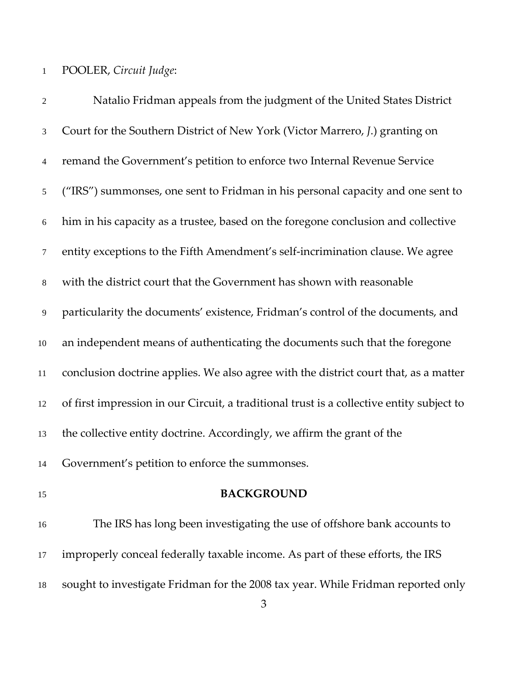## POOLER, *Circuit Judge*:

| $\overline{2}$ | Natalio Fridman appeals from the judgment of the United States District                   |
|----------------|-------------------------------------------------------------------------------------------|
| $\mathfrak{Z}$ | Court for the Southern District of New York (Victor Marrero, J.) granting on              |
| $\overline{4}$ | remand the Government's petition to enforce two Internal Revenue Service                  |
| $\mathfrak{S}$ | ("IRS") summonses, one sent to Fridman in his personal capacity and one sent to           |
| 6              | him in his capacity as a trustee, based on the foregone conclusion and collective         |
| $\overline{7}$ | entity exceptions to the Fifth Amendment's self-incrimination clause. We agree            |
| $8\,$          | with the district court that the Government has shown with reasonable                     |
| 9              | particularity the documents' existence, Fridman's control of the documents, and           |
| 10             | an independent means of authenticating the documents such that the foregone               |
| 11             | conclusion doctrine applies. We also agree with the district court that, as a matter      |
| 12             | of first impression in our Circuit, a traditional trust is a collective entity subject to |
| 13             | the collective entity doctrine. Accordingly, we affirm the grant of the                   |
| 14             | Government's petition to enforce the summonses.                                           |
| 15             | <b>BACKGROUND</b>                                                                         |
| 16             | The IRS has long been investigating the use of offshore bank accounts to                  |
| 17             | improperly conceal federally taxable income. As part of these efforts, the IRS            |
|                |                                                                                           |

sought to investigate Fridman for the 2008 tax year. While Fridman reported only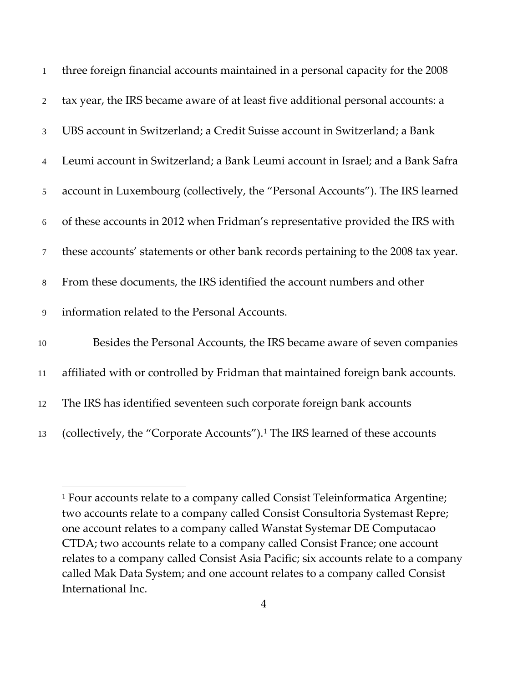| $\mathbf{1}$   | three foreign financial accounts maintained in a personal capacity for the 2008          |
|----------------|------------------------------------------------------------------------------------------|
| $\overline{2}$ | tax year, the IRS became aware of at least five additional personal accounts: a          |
| 3              | UBS account in Switzerland; a Credit Suisse account in Switzerland; a Bank               |
| $\overline{4}$ | Leumi account in Switzerland; a Bank Leumi account in Israel; and a Bank Safra           |
| 5              | account in Luxembourg (collectively, the "Personal Accounts"). The IRS learned           |
| 6              | of these accounts in 2012 when Fridman's representative provided the IRS with            |
| $\tau$         | these accounts' statements or other bank records pertaining to the 2008 tax year.        |
| $\,8\,$        | From these documents, the IRS identified the account numbers and other                   |
| 9              | information related to the Personal Accounts.                                            |
| $10\,$         | Besides the Personal Accounts, the IRS became aware of seven companies                   |
| 11             | affiliated with or controlled by Fridman that maintained foreign bank accounts.          |
| 12             | The IRS has identified seventeen such corporate foreign bank accounts                    |
| 13             | (collectively, the "Corporate Accounts"). <sup>1</sup> The IRS learned of these accounts |

<span id="page-3-0"></span><sup>&</sup>lt;sup>1</sup> Four accounts relate to a company called Consist Teleinformatica Argentine; two accounts relate to a company called Consist Consultoria Systemast Repre; one account relates to a company called Wanstat Systemar DE Computacao CTDA; two accounts relate to a company called Consist France; one account relates to a company called Consist Asia Pacific; six accounts relate to a company called Mak Data System; and one account relates to a company called Consist International Inc.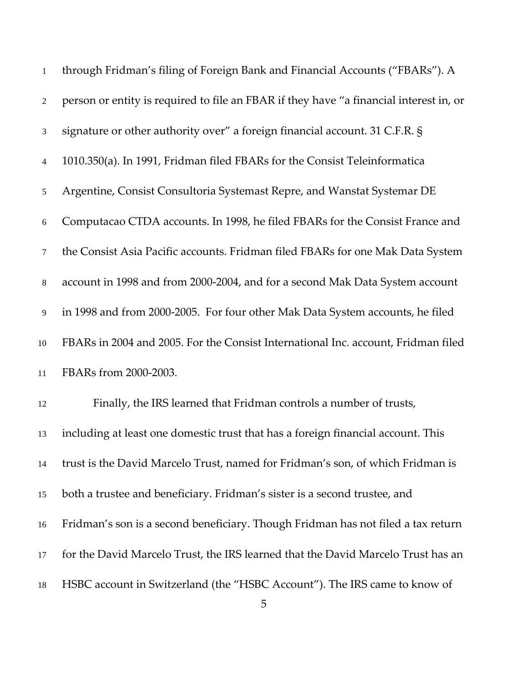| $\mathbf{1}$   | through Fridman's filing of Foreign Bank and Financial Accounts ("FBARs"). A           |
|----------------|----------------------------------------------------------------------------------------|
| $\overline{2}$ | person or entity is required to file an FBAR if they have "a financial interest in, or |
| 3              | signature or other authority over" a foreign financial account. 31 C.F.R. §            |
| $\overline{4}$ | 1010.350(a). In 1991, Fridman filed FBARs for the Consist Teleinformatica              |
| 5              | Argentine, Consist Consultoria Systemast Repre, and Wanstat Systemar DE                |
| $6\,$          | Computacao CTDA accounts. In 1998, he filed FBARs for the Consist France and           |
| 7              | the Consist Asia Pacific accounts. Fridman filed FBARs for one Mak Data System         |
| $8\,$          | account in 1998 and from 2000-2004, and for a second Mak Data System account           |
| 9              | in 1998 and from 2000-2005. For four other Mak Data System accounts, he filed          |
| $10\,$         | FBARs in 2004 and 2005. For the Consist International Inc. account, Fridman filed      |
| 11             | FBARs from 2000-2003.                                                                  |
| 12             | Finally, the IRS learned that Fridman controls a number of trusts,                     |
| 13             | including at least one domestic trust that has a foreign financial account. This       |
| 14             | trust is the David Marcelo Trust, named for Fridman's son, of which Fridman is         |
| 15             | both a trustee and beneficiary. Fridman's sister is a second trustee, and              |
| 16             | Fridman's son is a second beneficiary. Though Fridman has not filed a tax return       |
| 17             | for the David Marcelo Trust, the IRS learned that the David Marcelo Trust has an       |
| 18             | HSBC account in Switzerland (the "HSBC Account"). The IRS came to know of              |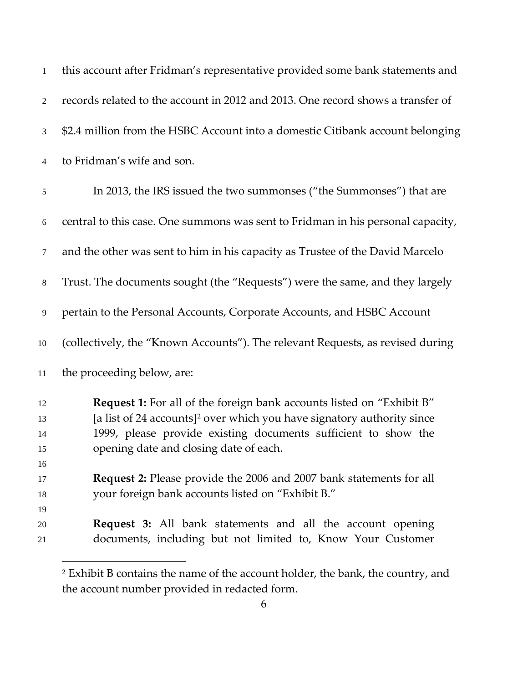| $\mathbf{1}$ | this account after Fridman's representative provided some bank statements and      |
|--------------|------------------------------------------------------------------------------------|
| 2            | records related to the account in 2012 and 2013. One record shows a transfer of    |
| 3            | \$2.4 million from the HSBC Account into a domestic Citibank account belonging     |
| 4            | to Fridman's wife and son.                                                         |
| $\sqrt{5}$   | In 2013, the IRS issued the two summonses ("the Summonses") that are               |
| 6            | central to this case. One summons was sent to Fridman in his personal capacity,    |
| $\tau$       | and the other was sent to him in his capacity as Trustee of the David Marcelo      |
| $8\,$        | Trust. The documents sought (the "Requests") were the same, and they largely       |
| 9            | pertain to the Personal Accounts, Corporate Accounts, and HSBC Account             |
| 10           | (collectively, the "Known Accounts"). The relevant Requests, as revised during     |
| 11           | the proceeding below, are:                                                         |
| 12           | <b>Request 1:</b> For all of the foreign bank accounts listed on "Exhibit B"       |
| 13           | [a list of 24 accounts] <sup>2</sup> over which you have signatory authority since |
| 14           | 1999, please provide existing documents sufficient to show the                     |
| 15           | opening date and closing date of each.                                             |
| 16           |                                                                                    |
| 17           | Request 2: Please provide the 2006 and 2007 bank statements for all                |
| 18           | your foreign bank accounts listed on "Exhibit B."                                  |
| 19           |                                                                                    |
| 20           | <b>Request 3:</b> All bank statements and all the account opening                  |
| 21           | documents, including but not limited to, Know Your Customer                        |

<span id="page-5-0"></span> Exhibit B contains the name of the account holder, the bank, the country, and the account number provided in redacted form.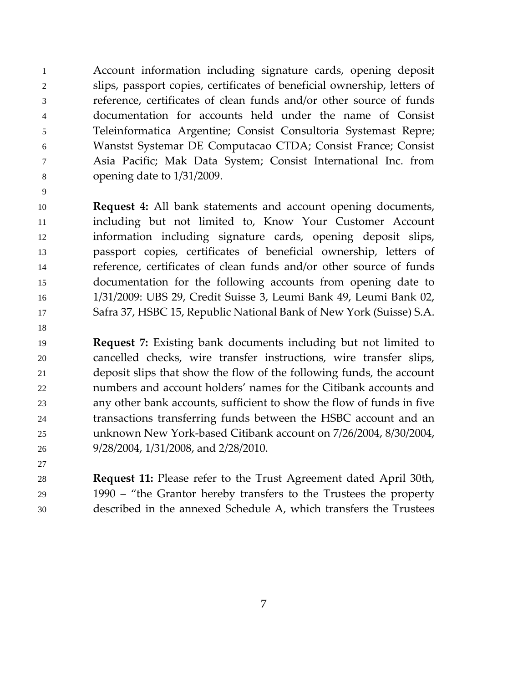Account information including signature cards, opening deposit slips, passport copies, certificates of beneficial ownership, letters of reference, certificates of clean funds and/or other source of funds documentation for accounts held under the name of Consist Teleinformatica Argentine; Consist Consultoria Systemast Repre; Wanstst Systemar DE Computacao CTDA; Consist France; Consist Asia Pacific; Mak Data System; Consist International Inc. from opening date to 1/31/2009.

 **Request 4:** All bank statements and account opening documents, including but not limited to, Know Your Customer Account information including signature cards, opening deposit slips, passport copies, certificates of beneficial ownership, letters of reference, certificates of clean funds and/or other source of funds documentation for the following accounts from opening date to 1/31/2009: UBS 29, Credit Suisse 3, Leumi Bank 49, Leumi Bank 02, Safra 37, HSBC 15, Republic National Bank of New York (Suisse) S.A.

 **Request 7:** Existing bank documents including but not limited to cancelled checks, wire transfer instructions, wire transfer slips, deposit slips that show the flow of the following funds, the account numbers and account holders' names for the Citibank accounts and any other bank accounts, sufficient to show the flow of funds in five transactions transferring funds between the HSBC account and an unknown New York-based Citibank account on 7/26/2004, 8/30/2004, 9/28/2004, 1/31/2008, and 2/28/2010.

 **Request 11:** Please refer to the Trust Agreement dated April 30th, 1990 – "the Grantor hereby transfers to the Trustees the property described in the annexed Schedule A, which transfers the Trustees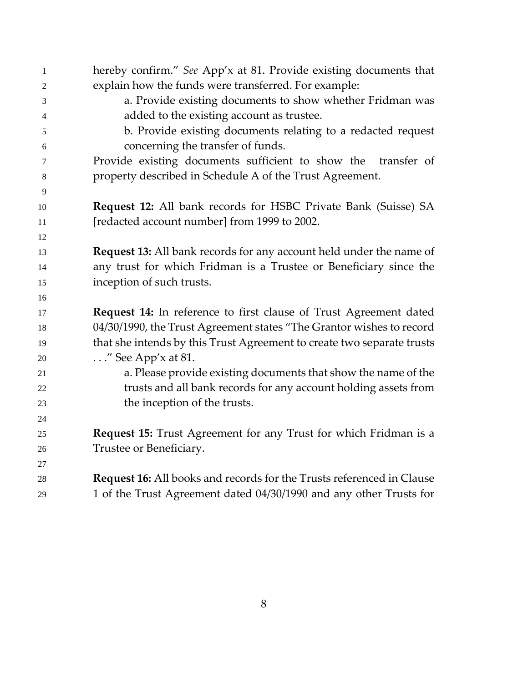| $\mathbf{1}$ | hereby confirm." See App'x at 81. Provide existing documents that            |
|--------------|------------------------------------------------------------------------------|
| 2            | explain how the funds were transferred. For example:                         |
| 3            | a. Provide existing documents to show whether Fridman was                    |
| 4            | added to the existing account as trustee.                                    |
| 5            | b. Provide existing documents relating to a redacted request                 |
| 6            | concerning the transfer of funds.                                            |
| 7            | Provide existing documents sufficient to show the<br>transfer of             |
| 8            | property described in Schedule A of the Trust Agreement.                     |
| 9            |                                                                              |
| 10           | <b>Request 12:</b> All bank records for HSBC Private Bank (Suisse) SA        |
| 11           | [redacted account number] from 1999 to 2002.                                 |
| 12           |                                                                              |
| 13           | <b>Request 13:</b> All bank records for any account held under the name of   |
| 14           | any trust for which Fridman is a Trustee or Beneficiary since the            |
| 15           | inception of such trusts.                                                    |
| 16           |                                                                              |
| 17           | Request 14: In reference to first clause of Trust Agreement dated            |
| 18           | 04/30/1990, the Trust Agreement states "The Grantor wishes to record         |
| 19           | that she intends by this Trust Agreement to create two separate trusts       |
| 20           | $\ldots$ " See App'x at 81.                                                  |
| 21           | a. Please provide existing documents that show the name of the               |
| 22           | trusts and all bank records for any account holding assets from              |
| 23           | the inception of the trusts.                                                 |
| 24           |                                                                              |
| 25           | <b>Request 15:</b> Trust Agreement for any Trust for which Fridman is a      |
| 26           | Trustee or Beneficiary.                                                      |
| 27           |                                                                              |
| 28           | <b>Request 16:</b> All books and records for the Trusts referenced in Clause |
| 29           | 1 of the Trust Agreement dated 04/30/1990 and any other Trusts for           |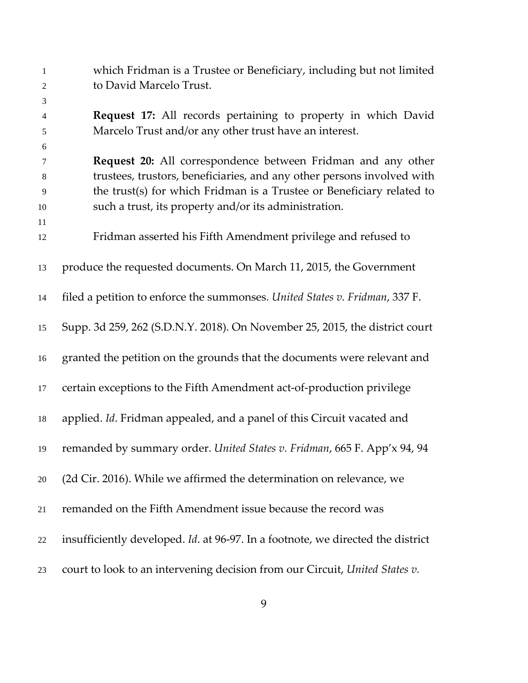| $\mathbf{1}$<br>$\mathbf{2}$ | which Fridman is a Trustee or Beneficiary, including but not limited<br>to David Marcelo Trust. |
|------------------------------|-------------------------------------------------------------------------------------------------|
| 3                            |                                                                                                 |
| $\overline{4}$               | Request 17: All records pertaining to property in which David                                   |
| 5                            | Marcelo Trust and/or any other trust have an interest.                                          |
| 6                            |                                                                                                 |
| 7                            | Request 20: All correspondence between Fridman and any other                                    |
| 8                            | trustees, trustors, beneficiaries, and any other persons involved with                          |
| 9                            | the trust(s) for which Fridman is a Trustee or Beneficiary related to                           |
| 10                           | such a trust, its property and/or its administration.                                           |
| 11                           |                                                                                                 |
| 12                           | Fridman asserted his Fifth Amendment privilege and refused to                                   |
| 13                           | produce the requested documents. On March 11, 2015, the Government                              |
|                              |                                                                                                 |
| 14                           | filed a petition to enforce the summonses. United States v. Fridman, 337 F.                     |
| 15                           | Supp. 3d 259, 262 (S.D.N.Y. 2018). On November 25, 2015, the district court                     |
| 16                           | granted the petition on the grounds that the documents were relevant and                        |
| 17                           | certain exceptions to the Fifth Amendment act-of-production privilege                           |
| 18                           | applied. Id. Fridman appealed, and a panel of this Circuit vacated and                          |
| 19                           | remanded by summary order. United States v. Fridman, 665 F. App'x 94, 94                        |
| 20                           | (2d Cir. 2016). While we affirmed the determination on relevance, we                            |
| 21                           | remanded on the Fifth Amendment issue because the record was                                    |
| $22\,$                       | insufficiently developed. Id. at 96-97. In a footnote, we directed the district                 |
| 23                           | court to look to an intervening decision from our Circuit, United States v.                     |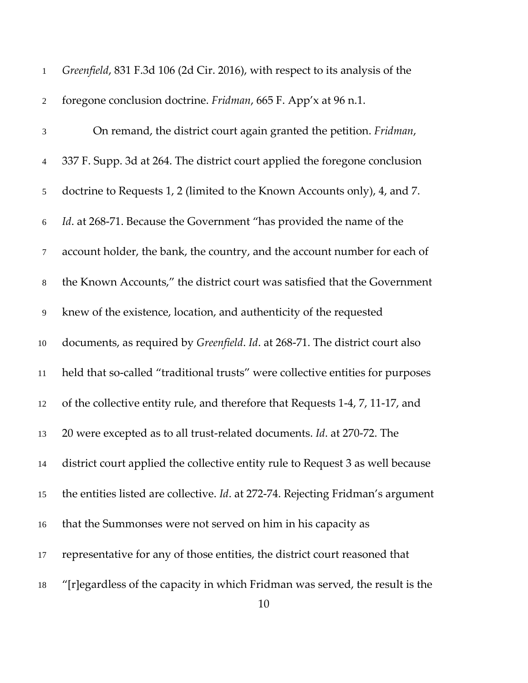| $\mathbf{1}$   | Greenfield, 831 F.3d 106 (2d Cir. 2016), with respect to its analysis of the    |
|----------------|---------------------------------------------------------------------------------|
| $\sqrt{2}$     | foregone conclusion doctrine. Fridman, 665 F. App'x at 96 n.1.                  |
| $\mathfrak{Z}$ | On remand, the district court again granted the petition. Fridman,              |
| $\overline{4}$ | 337 F. Supp. 3d at 264. The district court applied the foregone conclusion      |
| $\mathfrak{S}$ | doctrine to Requests 1, 2 (limited to the Known Accounts only), 4, and 7.       |
| $\sqrt{6}$     | Id. at 268-71. Because the Government "has provided the name of the             |
| $\tau$         | account holder, the bank, the country, and the account number for each of       |
| $8\,$          | the Known Accounts," the district court was satisfied that the Government       |
| $\overline{9}$ | knew of the existence, location, and authenticity of the requested              |
| 10             | documents, as required by Greenfield. Id. at 268-71. The district court also    |
| $11\,$         | held that so-called "traditional trusts" were collective entities for purposes  |
| 12             | of the collective entity rule, and therefore that Requests 1-4, 7, 11-17, and   |
| 13             | 20 were excepted as to all trust-related documents. Id. at 270-72. The          |
| 14             | district court applied the collective entity rule to Request 3 as well because  |
| 15             | the entities listed are collective. Id. at 272-74. Rejecting Fridman's argument |
| 16             | that the Summonses were not served on him in his capacity as                    |
| 17             | representative for any of those entities, the district court reasoned that      |
| 18             | "[r] egardless of the capacity in which Fridman was served, the result is the   |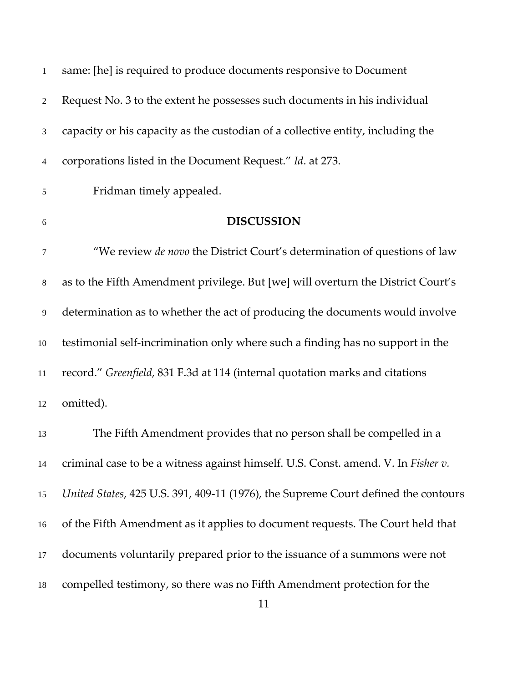| 1                | same: [he] is required to produce documents responsive to Document                 |
|------------------|------------------------------------------------------------------------------------|
| $\boldsymbol{2}$ | Request No. 3 to the extent he possesses such documents in his individual          |
| $\mathfrak{Z}$   | capacity or his capacity as the custodian of a collective entity, including the    |
| $\overline{4}$   | corporations listed in the Document Request." Id. at 273.                          |
| $\sqrt{5}$       | Fridman timely appealed.                                                           |
| 6                | <b>DISCUSSION</b>                                                                  |
| 7                | "We review <i>de novo</i> the District Court's determination of questions of law   |
| $\,8\,$          | as to the Fifth Amendment privilege. But [we] will overturn the District Court's   |
| 9                | determination as to whether the act of producing the documents would involve       |
| 10               | testimonial self-incrimination only where such a finding has no support in the     |
| $11\,$           | record." Greenfield, 831 F.3d at 114 (internal quotation marks and citations       |
| 12               | omitted).                                                                          |
| 13               | The Fifth Amendment provides that no person shall be compelled in a                |
| 14               | criminal case to be a witness against himself. U.S. Const. amend. V. In Fisher v.  |
| 15               | United States, 425 U.S. 391, 409-11 (1976), the Supreme Court defined the contours |
| 16               | of the Fifth Amendment as it applies to document requests. The Court held that     |
| 17               | documents voluntarily prepared prior to the issuance of a summons were not         |
| 18               | compelled testimony, so there was no Fifth Amendment protection for the            |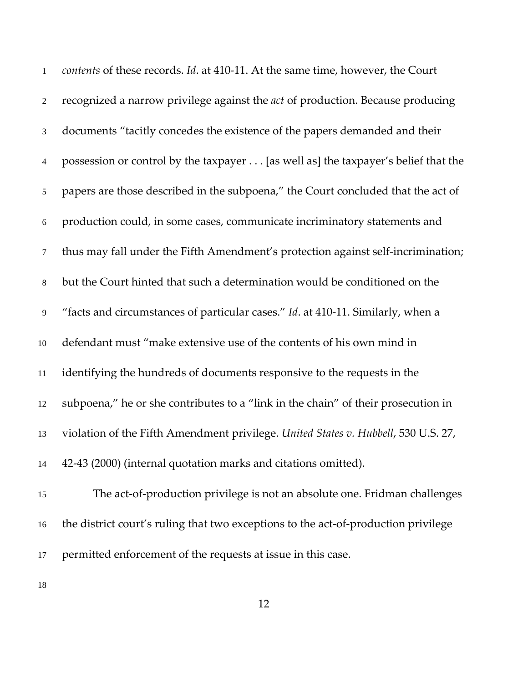| $\mathbf{1}$   | contents of these records. Id. at 410-11. At the same time, however, the Court        |
|----------------|---------------------------------------------------------------------------------------|
| $\overline{2}$ | recognized a narrow privilege against the <i>act</i> of production. Because producing |
| 3              | documents "tacitly concedes the existence of the papers demanded and their            |
| $\overline{4}$ | possession or control by the taxpayer [as well as] the taxpayer's belief that the     |
| $\mathfrak{S}$ | papers are those described in the subpoena," the Court concluded that the act of      |
| 6              | production could, in some cases, communicate incriminatory statements and             |
| $\tau$         | thus may fall under the Fifth Amendment's protection against self-incrimination;      |
| $8\,$          | but the Court hinted that such a determination would be conditioned on the            |
| 9              | "facts and circumstances of particular cases." Id. at 410-11. Similarly, when a       |
| 10             | defendant must "make extensive use of the contents of his own mind in                 |
| 11             | identifying the hundreds of documents responsive to the requests in the               |
| 12             | subpoena," he or she contributes to a "link in the chain" of their prosecution in     |
| 13             | violation of the Fifth Amendment privilege. United States v. Hubbell, 530 U.S. 27,    |
| 14             | 42-43 (2000) (internal quotation marks and citations omitted).                        |
| 15             | The act-of-production privilege is not an absolute one. Fridman challenges            |
| 16             | the district court's ruling that two exceptions to the act-of-production privilege    |
| 17             | permitted enforcement of the requests at issue in this case.                          |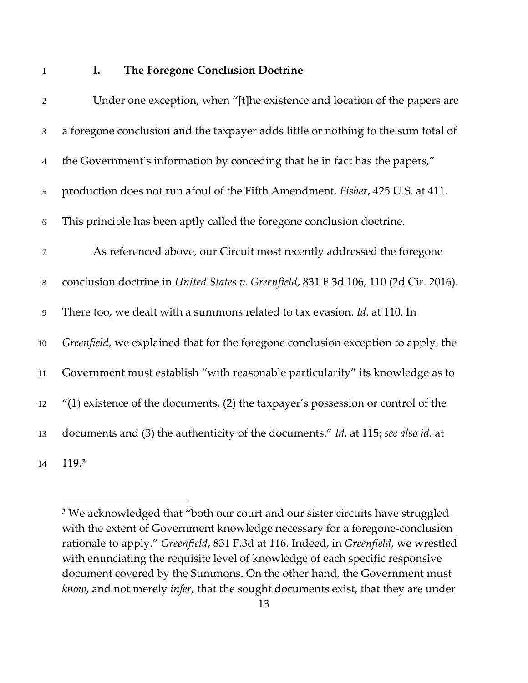## **I. The Foregone Conclusion Doctrine**

| $\overline{2}$   | Under one exception, when "[t]he existence and location of the papers are             |
|------------------|---------------------------------------------------------------------------------------|
| $\mathfrak{Z}$   | a foregone conclusion and the taxpayer adds little or nothing to the sum total of     |
| $\overline{4}$   | the Government's information by conceding that he in fact has the papers,"            |
| 5                | production does not run afoul of the Fifth Amendment. Fisher, 425 U.S. at 411.        |
| 6                | This principle has been aptly called the foregone conclusion doctrine.                |
| $\boldsymbol{7}$ | As referenced above, our Circuit most recently addressed the foregone                 |
| $8\,$            | conclusion doctrine in United States v. Greenfield, 831 F.3d 106, 110 (2d Cir. 2016). |
| 9                | There too, we dealt with a summons related to tax evasion. Id. at 110. In             |
| $10\,$           | Greenfield, we explained that for the foregone conclusion exception to apply, the     |
| 11               | Government must establish "with reasonable particularity" its knowledge as to         |
| 12               | $''(1)$ existence of the documents, (2) the taxpayer's possession or control of the   |
| 13               | documents and (3) the authenticity of the documents." Id. at 115; see also id. at     |
| 14               | 119.3                                                                                 |

<span id="page-12-0"></span><sup>&</sup>lt;sup>3</sup> We acknowledged that "both our court and our sister circuits have struggled with the extent of Government knowledge necessary for a foregone-conclusion rationale to apply." *Greenfield*, 831 F.3d at 116. Indeed, in *Greenfield*, we wrestled with enunciating the requisite level of knowledge of each specific responsive document covered by the Summons. On the other hand, the Government must *know*, and not merely *infer*, that the sought documents exist, that they are under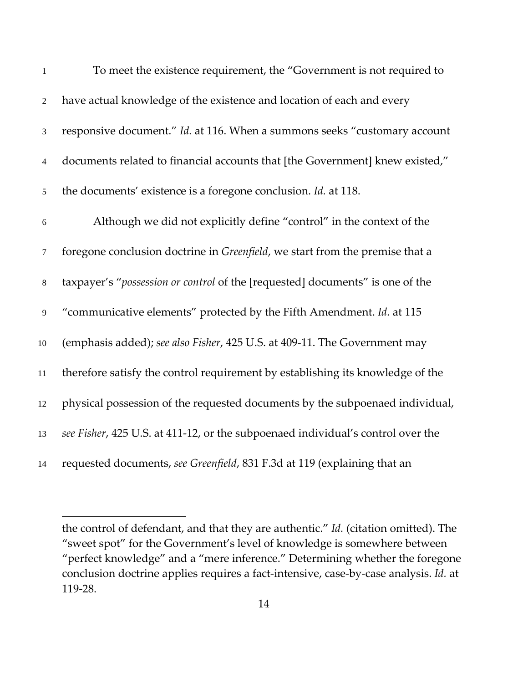| $\mathbf{1}$   | To meet the existence requirement, the "Government is not required to           |
|----------------|---------------------------------------------------------------------------------|
| $\overline{2}$ | have actual knowledge of the existence and location of each and every           |
| $\mathfrak{Z}$ | responsive document." Id. at 116. When a summons seeks "customary account       |
| $\overline{4}$ | documents related to financial accounts that [the Government] knew existed,"    |
| 5              | the documents' existence is a foregone conclusion. Id. at 118.                  |
| $\sqrt{6}$     | Although we did not explicitly define "control" in the context of the           |
| $\tau$         | foregone conclusion doctrine in Greenfield, we start from the premise that a    |
| $\,8\,$        | taxpayer's "possession or control of the [requested] documents" is one of the   |
| $\overline{9}$ | "communicative elements" protected by the Fifth Amendment. Id. at 115           |
| 10             | (emphasis added); see also Fisher, 425 U.S. at 409-11. The Government may       |
| 11             | therefore satisfy the control requirement by establishing its knowledge of the  |
| 12             | physical possession of the requested documents by the subpoenaed individual,    |
| 13             | see Fisher, 425 U.S. at 411-12, or the subpoenaed individual's control over the |
| 14             | requested documents, see Greenfield, 831 F.3d at 119 (explaining that an        |

the control of defendant, and that they are authentic." *Id.* (citation omitted). The "sweet spot" for the Government's level of knowledge is somewhere between "perfect knowledge" and a "mere inference." Determining whether the foregone conclusion doctrine applies requires a fact-intensive, case-by-case analysis. *Id.* at 119-28.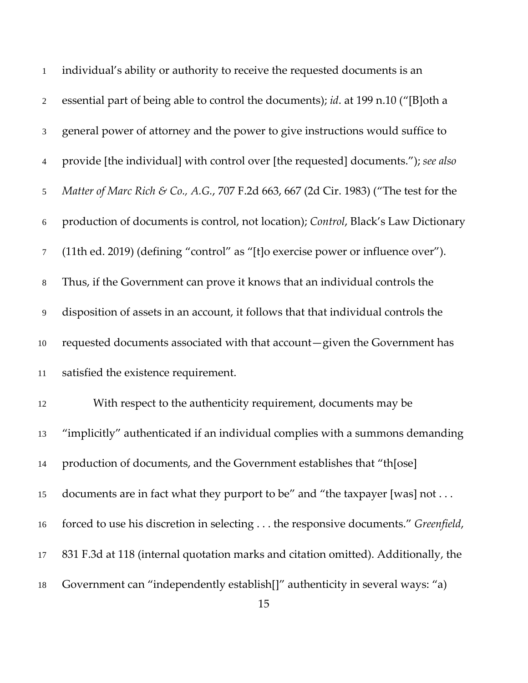| $\mathbf{1}$   | individual's ability or authority to receive the requested documents is an           |
|----------------|--------------------------------------------------------------------------------------|
| $\overline{2}$ | essential part of being able to control the documents); id. at 199 n.10 ("[B]oth a   |
| 3              | general power of attorney and the power to give instructions would suffice to        |
| 4              | provide [the individual] with control over [the requested] documents."); see also    |
| 5              | Matter of Marc Rich & Co., A.G., 707 F.2d 663, 667 (2d Cir. 1983) ("The test for the |
| $6\,$          | production of documents is control, not location); Control, Black's Law Dictionary   |
| $\tau$         | (11th ed. 2019) (defining "control" as "[t]o exercise power or influence over").     |
| $8\,$          | Thus, if the Government can prove it knows that an individual controls the           |
| 9              | disposition of assets in an account, it follows that that individual controls the    |
| 10             | requested documents associated with that account-given the Government has            |
| $11\,$         | satisfied the existence requirement.                                                 |
| 12             | With respect to the authenticity requirement, documents may be                       |
| 13             | "implicitly" authenticated if an individual complies with a summons demanding        |
| 14             | production of documents, and the Government establishes that "th[ose]                |
| 15             | documents are in fact what they purport to be" and "the taxpayer [was] not           |
| 16             | forced to use his discretion in selecting the responsive documents." Greenfield,     |
| 17             | 831 F.3d at 118 (internal quotation marks and citation omitted). Additionally, the   |
| 18             | Government can "independently establish[]" authenticity in several ways: "a)         |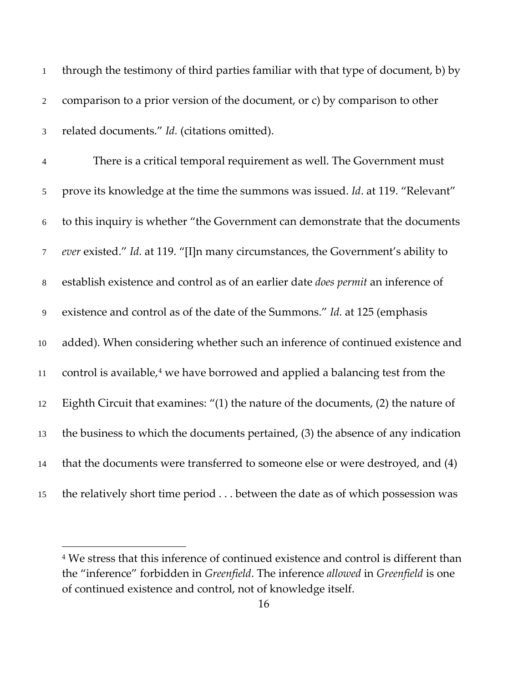| $\mathbf{1}$   | through the testimony of third parties familiar with that type of document, b) by         |
|----------------|-------------------------------------------------------------------------------------------|
| $\overline{2}$ | comparison to a prior version of the document, or c) by comparison to other               |
| $\mathfrak{Z}$ | related documents." Id. (citations omitted).                                              |
| $\overline{4}$ | There is a critical temporal requirement as well. The Government must                     |
| $\mathfrak{S}$ | prove its knowledge at the time the summons was issued. Id. at 119. "Relevant"            |
| $\sqrt{6}$     | to this inquiry is whether "the Government can demonstrate that the documents             |
| $\tau$         | ever existed." Id. at 119. "[I]n many circumstances, the Government's ability to          |
| $8\,$          | establish existence and control as of an earlier date does permit an inference of         |
| $\overline{9}$ | existence and control as of the date of the Summons." Id. at 125 (emphasis                |
| $10\,$         | added). When considering whether such an inference of continued existence and             |
| $11\,$         | control is available, <sup>4</sup> we have borrowed and applied a balancing test from the |
| 12             | Eighth Circuit that examines: "(1) the nature of the documents, (2) the nature of         |
| 13             | the business to which the documents pertained, (3) the absence of any indication          |
| 14             | that the documents were transferred to someone else or were destroyed, and (4)            |
| 15             | the relatively short time period between the date as of which possession was              |

<span id="page-15-0"></span> We stress that this inference of continued existence and control is different than the "inference" forbidden in *Greenfield*. The inference *allowed* in *Greenfield* is one of continued existence and control, not of knowledge itself.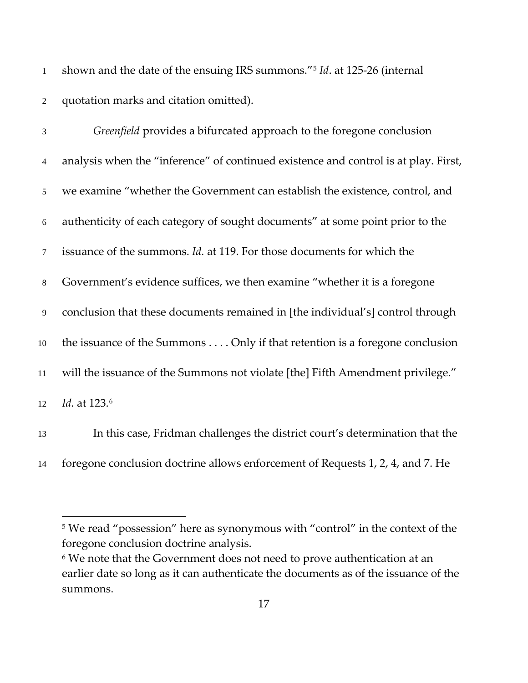shown and the date of the ensuing IRS summons."<sup>[5](#page-16-0)</sup> Id. at 125-26 (internal quotation marks and citation omitted).

| $\mathfrak{Z}$ | Greenfield provides a bifurcated approach to the foregone conclusion                |
|----------------|-------------------------------------------------------------------------------------|
| $\overline{4}$ | analysis when the "inference" of continued existence and control is at play. First, |
| 5              | we examine "whether the Government can establish the existence, control, and        |
| 6              | authenticity of each category of sought documents" at some point prior to the       |
| $\tau$         | issuance of the summons. <i>Id.</i> at 119. For those documents for which the       |
| 8              | Government's evidence suffices, we then examine "whether it is a foregone           |
| 9              | conclusion that these documents remained in [the individual's] control through      |
| 10             | the issuance of the Summons Only if that retention is a foregone conclusion         |
| 11             | will the issuance of the Summons not violate [the] Fifth Amendment privilege."      |
| 12             | Id. at 123.6                                                                        |
| 13             | In this case, Fridman challenges the district court's determination that the        |

14 foregone conclusion doctrine allows enforcement of Requests 1, 2, 4, and 7. He

<span id="page-16-0"></span><sup>&</sup>lt;sup>5</sup> We read "possession" here as synonymous with "control" in the context of the foregone conclusion doctrine analysis.

<span id="page-16-1"></span><sup>&</sup>lt;sup>6</sup> We note that the Government does not need to prove authentication at an earlier date so long as it can authenticate the documents as of the issuance of the summons.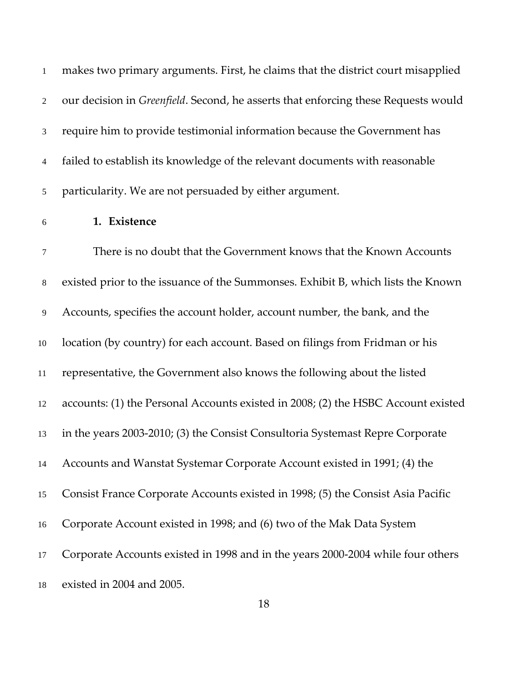| $\mathbf{1}$   | makes two primary arguments. First, he claims that the district court misapplied           |
|----------------|--------------------------------------------------------------------------------------------|
| 2              | our decision in <i>Greenfield</i> . Second, he asserts that enforcing these Requests would |
| 3 <sup>7</sup> | require him to provide testimonial information because the Government has                  |
| 4              | failed to establish its knowledge of the relevant documents with reasonable                |
| 5 <sup>5</sup> | particularity. We are not persuaded by either argument.                                    |

## **1. Existence**

 There is no doubt that the Government knows that the Known Accounts existed prior to the issuance of the Summonses. Exhibit B, which lists the Known Accounts, specifies the account holder, account number, the bank, and the location (by country) for each account. Based on filings from Fridman or his representative, the Government also knows the following about the listed accounts: (1) the Personal Accounts existed in 2008; (2) the HSBC Account existed in the years 2003-2010; (3) the Consist Consultoria Systemast Repre Corporate Accounts and Wanstat Systemar Corporate Account existed in 1991; (4) the Consist France Corporate Accounts existed in 1998; (5) the Consist Asia Pacific Corporate Account existed in 1998; and (6) two of the Mak Data System Corporate Accounts existed in 1998 and in the years 2000-2004 while four others existed in 2004 and 2005.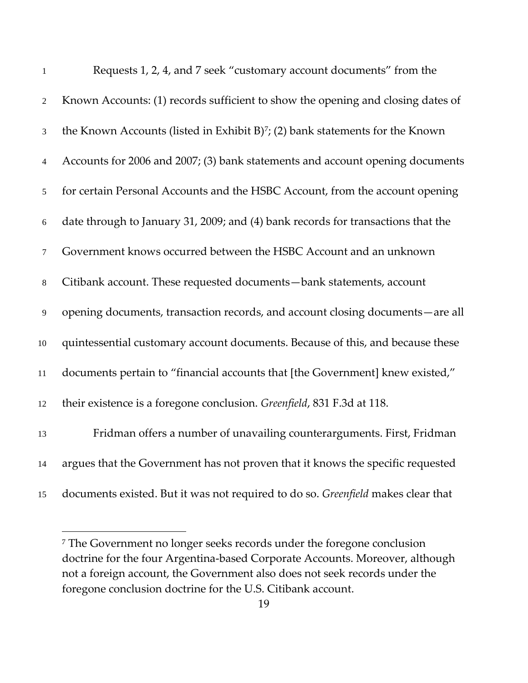| $\mathbf{1}$   | Requests 1, 2, 4, and 7 seek "customary account documents" from the               |
|----------------|-----------------------------------------------------------------------------------|
| $\overline{2}$ | Known Accounts: (1) records sufficient to show the opening and closing dates of   |
| 3              | the Known Accounts (listed in Exhibit B) $^7$ ; (2) bank statements for the Known |
| $\overline{4}$ | Accounts for 2006 and 2007; (3) bank statements and account opening documents     |
| 5              | for certain Personal Accounts and the HSBC Account, from the account opening      |
| $6\,$          | date through to January 31, 2009; and (4) bank records for transactions that the  |
| $\tau$         | Government knows occurred between the HSBC Account and an unknown                 |
| $8\,$          | Citibank account. These requested documents-bank statements, account              |
| $\overline{9}$ | opening documents, transaction records, and account closing documents—are all     |
| $10\,$         | quintessential customary account documents. Because of this, and because these    |
| 11             | documents pertain to "financial accounts that [the Government] knew existed,"     |
| 12             | their existence is a foregone conclusion. Greenfield, 831 F.3d at 118.            |
| 13             | Fridman offers a number of unavailing counterarguments. First, Fridman            |
| 14             | argues that the Government has not proven that it knows the specific requested    |
| 15             | documents existed. But it was not required to do so. Greenfield makes clear that  |

<span id="page-18-0"></span> The Government no longer seeks records under the foregone conclusion doctrine for the four Argentina-based Corporate Accounts. Moreover, although not a foreign account, the Government also does not seek records under the foregone conclusion doctrine for the U.S. Citibank account.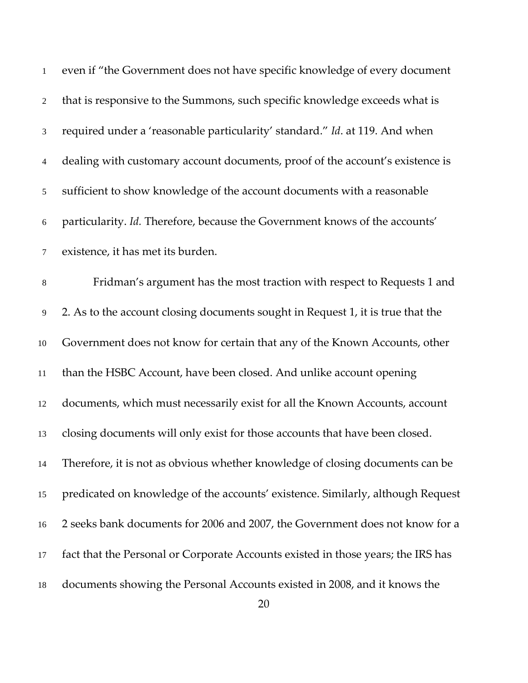| $\mathbf{1}$   | even if "the Government does not have specific knowledge of every document       |
|----------------|----------------------------------------------------------------------------------|
| 2              | that is responsive to the Summons, such specific knowledge exceeds what is       |
| 3              | required under a 'reasonable particularity' standard." Id. at 119. And when      |
| $\overline{4}$ | dealing with customary account documents, proof of the account's existence is    |
| 5              | sufficient to show knowledge of the account documents with a reasonable          |
| $\sqrt{6}$     | particularity. Id. Therefore, because the Government knows of the accounts'      |
| $\tau$         | existence, it has met its burden.                                                |
| 8              | Fridman's argument has the most traction with respect to Requests 1 and          |
| 9              | 2. As to the account closing documents sought in Request 1, it is true that the  |
| 10             | Government does not know for certain that any of the Known Accounts, other       |
| $11\,$         | than the HSBC Account, have been closed. And unlike account opening              |
| 12             | documents, which must necessarily exist for all the Known Accounts, account      |
| 13             | closing documents will only exist for those accounts that have been closed.      |
| 14             | Therefore, it is not as obvious whether knowledge of closing documents can be    |
| 15             | predicated on knowledge of the accounts' existence. Similarly, although Request  |
| 16             | 2 seeks bank documents for 2006 and 2007, the Government does not know for a     |
| 17             | fact that the Personal or Corporate Accounts existed in those years; the IRS has |
| 18             | documents showing the Personal Accounts existed in 2008, and it knows the        |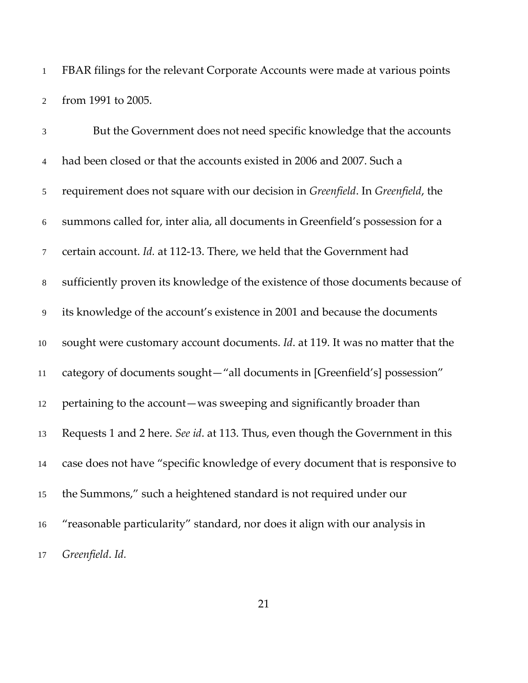FBAR filings for the relevant Corporate Accounts were made at various points from 1991 to 2005.

| 3              | But the Government does not need specific knowledge that the accounts            |
|----------------|----------------------------------------------------------------------------------|
| $\overline{4}$ | had been closed or that the accounts existed in 2006 and 2007. Such a            |
| $\mathfrak{S}$ | requirement does not square with our decision in Greenfield. In Greenfield, the  |
| $6\,$          | summons called for, inter alia, all documents in Greenfield's possession for a   |
| $\tau$         | certain account. Id. at 112-13. There, we held that the Government had           |
| $8\,$          | sufficiently proven its knowledge of the existence of those documents because of |
| $\overline{9}$ | its knowledge of the account's existence in 2001 and because the documents       |
| 10             | sought were customary account documents. Id. at 119. It was no matter that the   |
| $11\,$         | category of documents sought-"all documents in [Greenfield's] possession"        |
| 12             | pertaining to the account-was sweeping and significantly broader than            |
| 13             | Requests 1 and 2 here. See id. at 113. Thus, even though the Government in this  |
| 14             | case does not have "specific knowledge of every document that is responsive to   |
| 15             | the Summons," such a heightened standard is not required under our               |
| 16             | "reasonable particularity" standard, nor does it align with our analysis in      |
| 17             | Greenfield. Id.                                                                  |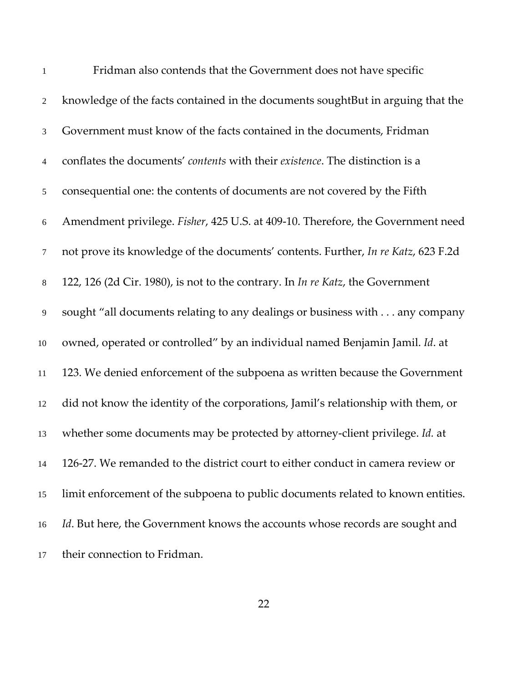| $\mathbf{1}$   | Fridman also contends that the Government does not have specific                       |
|----------------|----------------------------------------------------------------------------------------|
| $\overline{2}$ | knowledge of the facts contained in the documents soughtBut in arguing that the        |
| $\mathfrak{Z}$ | Government must know of the facts contained in the documents, Fridman                  |
| 4              | conflates the documents' contents with their existence. The distinction is a           |
| 5              | consequential one: the contents of documents are not covered by the Fifth              |
| 6              | Amendment privilege. Fisher, 425 U.S. at 409-10. Therefore, the Government need        |
| $\tau$         | not prove its knowledge of the documents' contents. Further, In re Katz, 623 F.2d      |
| $8\,$          | 122, 126 (2d Cir. 1980), is not to the contrary. In <i>In re Katz</i> , the Government |
| 9              | sought "all documents relating to any dealings or business with any company            |
| 10             | owned, operated or controlled" by an individual named Benjamin Jamil. Id. at           |
| 11             | 123. We denied enforcement of the subpoena as written because the Government           |
| 12             | did not know the identity of the corporations, Jamil's relationship with them, or      |
| 13             | whether some documents may be protected by attorney-client privilege. Id. at           |
| 14             | 126-27. We remanded to the district court to either conduct in camera review or        |
| 15             | limit enforcement of the subpoena to public documents related to known entities.       |
| 16             | Id. But here, the Government knows the accounts whose records are sought and           |
| 17             | their connection to Fridman.                                                           |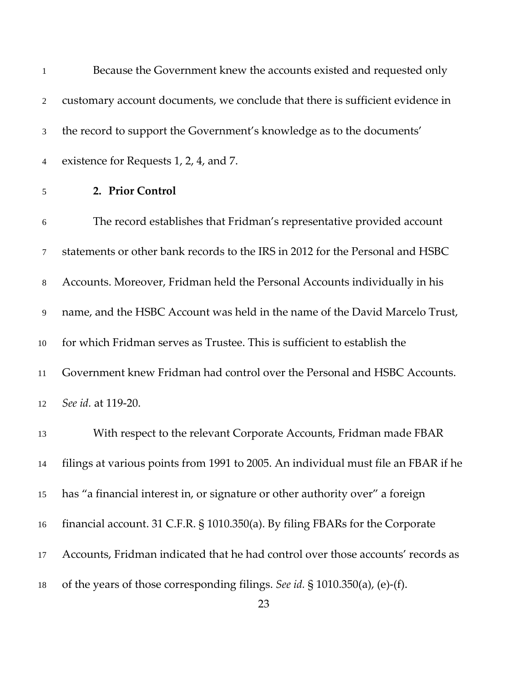| -1             | Because the Government knew the accounts existed and requested only                |
|----------------|------------------------------------------------------------------------------------|
| $\overline{2}$ | customary account documents, we conclude that there is sufficient evidence in      |
| 3              | the record to support the Government's knowledge as to the documents'              |
| 4              | existence for Requests 1, 2, 4, and 7.                                             |
| 5              | 2. Prior Control                                                                   |
| 6              | The record establishes that Fridman's representative provided account              |
| $\tau$         | statements or other bank records to the IRS in 2012 for the Personal and HSBC      |
| 8              | Accounts. Moreover, Fridman held the Personal Accounts individually in his         |
| 9              | name, and the HSBC Account was held in the name of the David Marcelo Trust,        |
| 10             | for which Fridman serves as Trustee. This is sufficient to establish the           |
| 11             | Government knew Fridman had control over the Personal and HSBC Accounts.           |
| 12             | See id. at 119-20.                                                                 |
| 13             | With respect to the relevant Corporate Accounts, Fridman made FBAR                 |
| 14             | filings at various points from 1991 to 2005. An individual must file an FBAR if he |
| 15             | has "a financial interest in, or signature or other authority over" a foreign      |
| 16             | financial account. 31 C.F.R. § 1010.350(a). By filing FBARs for the Corporate      |
| 17             | Accounts, Fridman indicated that he had control over those accounts' records as    |
| 18             | of the years of those corresponding filings. See id. $\S$ 1010.350(a), (e)-(f).    |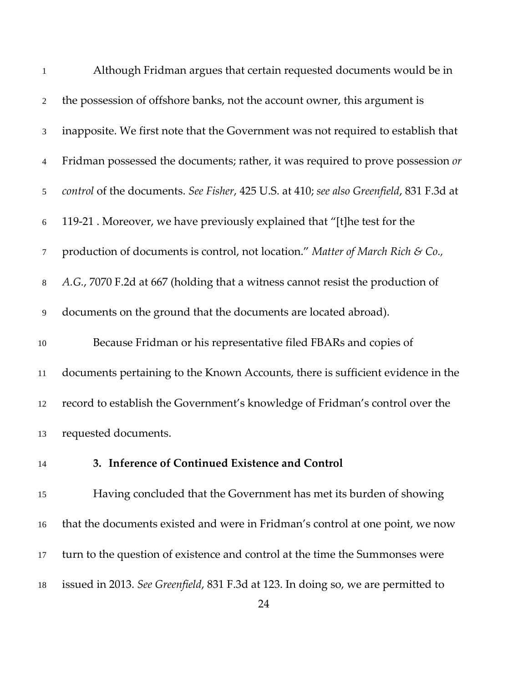| $\mathbf{1}$   | Although Fridman argues that certain requested documents would be in                    |
|----------------|-----------------------------------------------------------------------------------------|
| $\overline{2}$ | the possession of offshore banks, not the account owner, this argument is               |
| 3              | inapposite. We first note that the Government was not required to establish that        |
| 4              | Fridman possessed the documents; rather, it was required to prove possession or         |
| 5              | control of the documents. See Fisher, 425 U.S. at 410; see also Greenfield, 831 F.3d at |
| $6\,$          | 119-21. Moreover, we have previously explained that "[t] he test for the                |
| 7              | production of documents is control, not location." Matter of March Rich & Co.,          |
| $8\,$          | A.G., 7070 F.2d at 667 (holding that a witness cannot resist the production of          |
| 9              | documents on the ground that the documents are located abroad).                         |
| $10\,$         | Because Fridman or his representative filed FBARs and copies of                         |
| 11             | documents pertaining to the Known Accounts, there is sufficient evidence in the         |
| 12             | record to establish the Government's knowledge of Fridman's control over the            |
| 13             | requested documents.                                                                    |
| 14             | 3. Inference of Continued Existence and Control                                         |
| 15             | Having concluded that the Government has met its burden of showing                      |
| 16             | that the documents existed and were in Fridman's control at one point, we now           |
| 17             | turn to the question of existence and control at the time the Summonses were            |
| 18             | issued in 2013. See Greenfield, 831 F.3d at 123. In doing so, we are permitted to       |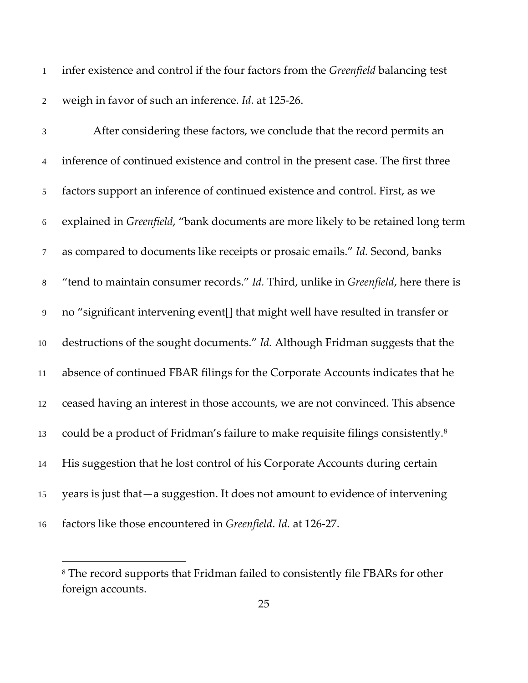infer existence and control if the four factors from the *Greenfield* balancing test weigh in favor of such an inference. *Id.* at 125-26.

 After considering these factors, we conclude that the record permits an inference of continued existence and control in the present case. The first three factors support an inference of continued existence and control. First, as we explained in *Greenfield*, "bank documents are more likely to be retained long term as compared to documents like receipts or prosaic emails." *Id.* Second, banks "tend to maintain consumer records." *Id.* Third, unlike in *Greenfield*, here there is no "significant intervening event[] that might well have resulted in transfer or destructions of the sought documents." *Id.* Although Fridman suggests that the absence of continued FBAR filings for the Corporate Accounts indicates that he ceased having an interest in those accounts, we are not convinced. This absence could be a product of Fridman's failure to make requisite filings consistently.[8](#page-24-0) His suggestion that he lost control of his Corporate Accounts during certain years is just that—a suggestion. It does not amount to evidence of intervening factors like those encountered in *Greenfield*. *Id.* at 126-27.

<span id="page-24-0"></span> The record supports that Fridman failed to consistently file FBARs for other foreign accounts.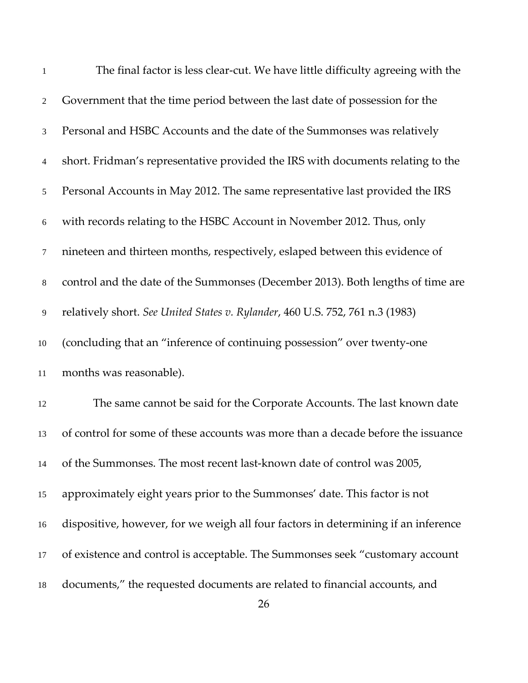| $\mathbf{1}$   | The final factor is less clear-cut. We have little difficulty agreeing with the    |
|----------------|------------------------------------------------------------------------------------|
| $\overline{2}$ | Government that the time period between the last date of possession for the        |
| 3              | Personal and HSBC Accounts and the date of the Summonses was relatively            |
| 4              | short. Fridman's representative provided the IRS with documents relating to the    |
| 5              | Personal Accounts in May 2012. The same representative last provided the IRS       |
| 6              | with records relating to the HSBC Account in November 2012. Thus, only             |
| $\tau$         | nineteen and thirteen months, respectively, eslaped between this evidence of       |
| $8\,$          | control and the date of the Summonses (December 2013). Both lengths of time are    |
| 9              | relatively short. See United States v. Rylander, 460 U.S. 752, 761 n.3 (1983)      |
| 10             | (concluding that an "inference of continuing possession" over twenty-one           |
| 11             | months was reasonable).                                                            |
| 12             | The same cannot be said for the Corporate Accounts. The last known date            |
| 13             | of control for some of these accounts was more than a decade before the issuance   |
| 14             | of the Summonses. The most recent last-known date of control was 2005,             |
| 15             | approximately eight years prior to the Summonses' date. This factor is not         |
| 16             | dispositive, however, for we weigh all four factors in determining if an inference |
| 17             | of existence and control is acceptable. The Summonses seek "customary account      |
| 18             | documents," the requested documents are related to financial accounts, and         |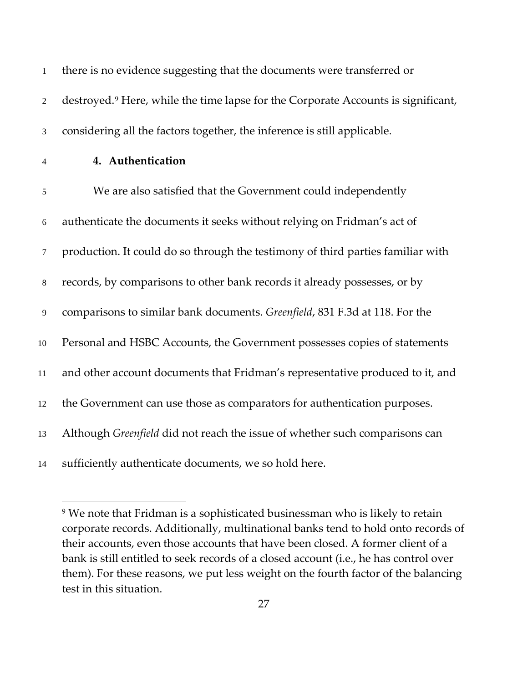| $\mathbf{1}$             | there is no evidence suggesting that the documents were transferred or                        |
|--------------------------|-----------------------------------------------------------------------------------------------|
| $\sqrt{2}$               | destroyed. <sup>9</sup> Here, while the time lapse for the Corporate Accounts is significant, |
| $\mathfrak{Z}$           | considering all the factors together, the inference is still applicable.                      |
| $\overline{\mathcal{A}}$ | 4. Authentication                                                                             |
| 5                        | We are also satisfied that the Government could independently                                 |
| $\sqrt{6}$               | authenticate the documents it seeks without relying on Fridman's act of                       |
| $\boldsymbol{7}$         | production. It could do so through the testimony of third parties familiar with               |
| $\,8\,$                  | records, by comparisons to other bank records it already possesses, or by                     |
| $\boldsymbol{9}$         | comparisons to similar bank documents. Greenfield, 831 F.3d at 118. For the                   |
| $10\,$                   | Personal and HSBC Accounts, the Government possesses copies of statements                     |
| 11                       | and other account documents that Fridman's representative produced to it, and                 |
| 12                       | the Government can use those as comparators for authentication purposes.                      |
| 13                       | Although Greenfield did not reach the issue of whether such comparisons can                   |
| 14                       | sufficiently authenticate documents, we so hold here.                                         |

<span id="page-26-0"></span><sup>&</sup>lt;sup>9</sup> We note that Fridman is a sophisticated businessman who is likely to retain corporate records. Additionally, multinational banks tend to hold onto records of their accounts, even those accounts that have been closed. A former client of a bank is still entitled to seek records of a closed account (i.e., he has control over them). For these reasons, we put less weight on the fourth factor of the balancing test in this situation.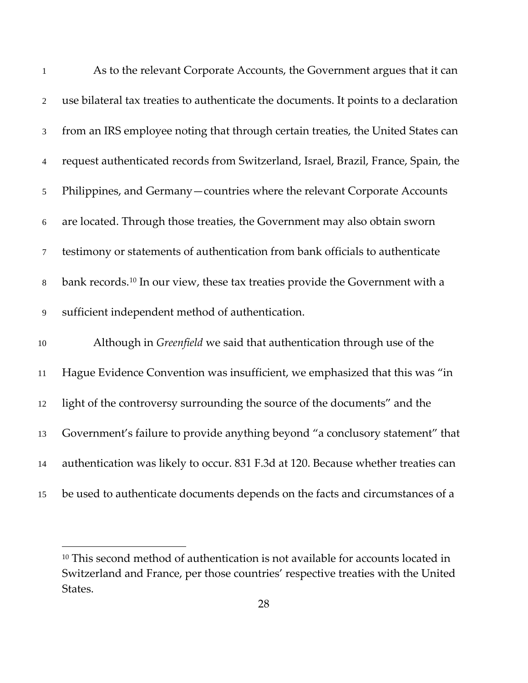| $\mathbf{1}$   | As to the relevant Corporate Accounts, the Government argues that it can                  |
|----------------|-------------------------------------------------------------------------------------------|
| $\sqrt{2}$     | use bilateral tax treaties to authenticate the documents. It points to a declaration      |
| $\mathfrak{Z}$ | from an IRS employee noting that through certain treaties, the United States can          |
| $\overline{4}$ | request authenticated records from Switzerland, Israel, Brazil, France, Spain, the        |
| 5              | Philippines, and Germany - countries where the relevant Corporate Accounts                |
| $6\,$          | are located. Through those treaties, the Government may also obtain sworn                 |
| $\tau$         | testimony or statements of authentication from bank officials to authenticate             |
| $\,8\,$        | bank records. <sup>10</sup> In our view, these tax treaties provide the Government with a |
| $\mathbf{9}$   | sufficient independent method of authentication.                                          |
| $10\,$         | Although in <i>Greenfield</i> we said that authentication through use of the              |
| 11             | Hague Evidence Convention was insufficient, we emphasized that this was "in               |
| 12             | light of the controversy surrounding the source of the documents" and the                 |
| 13             | Government's failure to provide anything beyond "a conclusory statement" that             |
| 14             | authentication was likely to occur. 831 F.3d at 120. Because whether treaties can         |
| 15             | be used to authenticate documents depends on the facts and circumstances of a             |

<span id="page-27-0"></span><sup>&</sup>lt;sup>10</sup> This second method of authentication is not available for accounts located in Switzerland and France, per those countries' respective treaties with the United States.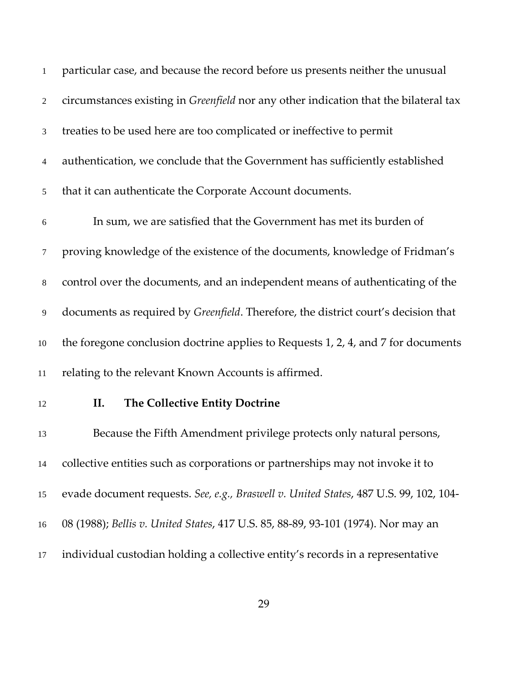| $\mathbf{1}$   | particular case, and because the record before us presents neither the unusual              |
|----------------|---------------------------------------------------------------------------------------------|
| 2              | circumstances existing in <i>Greenfield</i> nor any other indication that the bilateral tax |
| 3              | treaties to be used here are too complicated or ineffective to permit                       |
| $\overline{4}$ | authentication, we conclude that the Government has sufficiently established                |
| $\mathfrak{S}$ | that it can authenticate the Corporate Account documents.                                   |
| 6              | In sum, we are satisfied that the Government has met its burden of                          |
| $\tau$         | proving knowledge of the existence of the documents, knowledge of Fridman's                 |
| $\,8\,$        | control over the documents, and an independent means of authenticating of the               |
| 9              | documents as required by Greenfield. Therefore, the district court's decision that          |
| 10             | the foregone conclusion doctrine applies to Requests 1, 2, 4, and 7 for documents           |
| 11             | relating to the relevant Known Accounts is affirmed.                                        |
| 12             | The Collective Entity Doctrine<br>II.                                                       |
| 13             | Because the Fifth Amendment privilege protects only natural persons,                        |
| 14             | collective entities such as corporations or partnerships may not invoke it to               |
| 15             | evade document requests. See, e.g., Braswell v. United States, 487 U.S. 99, 102, 104-       |
| 16             | 08 (1988); Bellis v. United States, 417 U.S. 85, 88-89, 93-101 (1974). Nor may an           |
| 17             | individual custodian holding a collective entity's records in a representative              |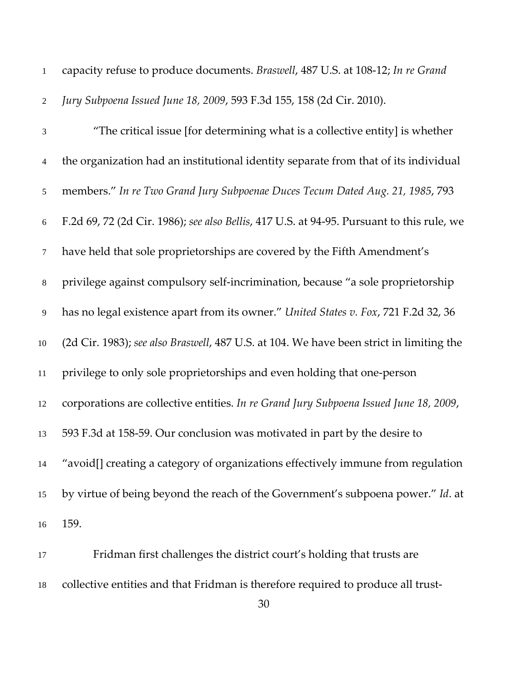| $\overline{2}$<br>$\mathfrak 3$<br>$\overline{4}$ | Jury Subpoena Issued June 18, 2009, 593 F.3d 155, 158 (2d Cir. 2010).<br>"The critical issue [for determining what is a collective entity] is whether<br>the organization had an institutional identity separate from that of its individual |
|---------------------------------------------------|----------------------------------------------------------------------------------------------------------------------------------------------------------------------------------------------------------------------------------------------|
|                                                   |                                                                                                                                                                                                                                              |
|                                                   |                                                                                                                                                                                                                                              |
|                                                   |                                                                                                                                                                                                                                              |
| $\sqrt{5}$                                        | members." In re Two Grand Jury Subpoenae Duces Tecum Dated Aug. 21, 1985, 793                                                                                                                                                                |
| $\sqrt{6}$                                        | F.2d 69, 72 (2d Cir. 1986); see also Bellis, 417 U.S. at 94-95. Pursuant to this rule, we                                                                                                                                                    |
| 7                                                 | have held that sole proprietorships are covered by the Fifth Amendment's                                                                                                                                                                     |
| $8\,$                                             | privilege against compulsory self-incrimination, because "a sole proprietorship                                                                                                                                                              |
| $\overline{9}$                                    | has no legal existence apart from its owner." United States v. Fox, 721 F.2d 32, 36                                                                                                                                                          |
| 10                                                | (2d Cir. 1983); see also Braswell, 487 U.S. at 104. We have been strict in limiting the                                                                                                                                                      |
| 11                                                | privilege to only sole proprietorships and even holding that one-person                                                                                                                                                                      |
| 12                                                | corporations are collective entities. In re Grand Jury Subpoena Issued June 18, 2009,                                                                                                                                                        |
| 13                                                | 593 F.3d at 158-59. Our conclusion was motivated in part by the desire to                                                                                                                                                                    |
| 14                                                | "avoid[] creating a category of organizations effectively immune from regulation                                                                                                                                                             |
| 15                                                | by virtue of being beyond the reach of the Government's subpoena power." Id. at                                                                                                                                                              |
| 16                                                | 159.                                                                                                                                                                                                                                         |
| 17                                                | Fridman first challenges the district court's holding that trusts are                                                                                                                                                                        |

collective entities and that Fridman is therefore required to produce all trust-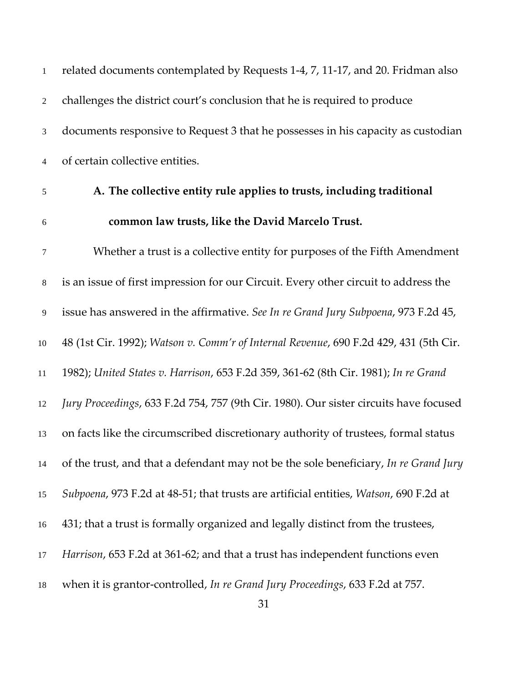| $\mathbf{1}$ | related documents contemplated by Requests 1-4, 7, 11-17, and 20. Fridman also        |
|--------------|---------------------------------------------------------------------------------------|
| $\sqrt{2}$   | challenges the district court's conclusion that he is required to produce             |
| 3            | documents responsive to Request 3 that he possesses in his capacity as custodian      |
| 4            | of certain collective entities.                                                       |
| 5            | A. The collective entity rule applies to trusts, including traditional                |
| $6\,$        | common law trusts, like the David Marcelo Trust.                                      |
| $\tau$       | Whether a trust is a collective entity for purposes of the Fifth Amendment            |
| $8\,$        | is an issue of first impression for our Circuit. Every other circuit to address the   |
| 9            | issue has answered in the affirmative. See In re Grand Jury Subpoena, 973 F.2d 45,    |
| 10           | 48 (1st Cir. 1992); Watson v. Comm'r of Internal Revenue, 690 F.2d 429, 431 (5th Cir. |
| 11           | 1982); United States v. Harrison, 653 F.2d 359, 361-62 (8th Cir. 1981); In re Grand   |
| 12           | Jury Proceedings, 633 F.2d 754, 757 (9th Cir. 1980). Our sister circuits have focused |
| 13           | on facts like the circumscribed discretionary authority of trustees, formal status    |
| 14           | of the trust, and that a defendant may not be the sole beneficiary, In re Grand Jury  |
| 15           | Subpoena, 973 F.2d at 48-51; that trusts are artificial entities, Watson, 690 F.2d at |
| 16           | 431; that a trust is formally organized and legally distinct from the trustees,       |
| 17           | Harrison, 653 F.2d at 361-62; and that a trust has independent functions even         |
| 18           | when it is grantor-controlled, In re Grand Jury Proceedings, 633 F.2d at 757.         |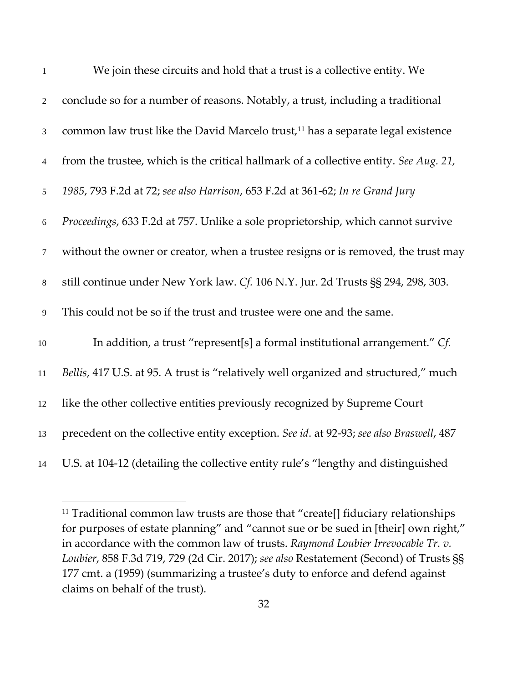| $\mathbf{1}$   | We join these circuits and hold that a trust is a collective entity. We                     |
|----------------|---------------------------------------------------------------------------------------------|
| 2              | conclude so for a number of reasons. Notably, a trust, including a traditional              |
| $\mathfrak{Z}$ | common law trust like the David Marcelo trust, <sup>11</sup> has a separate legal existence |
| $\overline{4}$ | from the trustee, which is the critical hallmark of a collective entity. See Aug. 21,       |
| $\mathfrak{S}$ | 1985, 793 F.2d at 72; see also Harrison, 653 F.2d at 361-62; In re Grand Jury               |
| 6              | Proceedings, 633 F.2d at 757. Unlike a sole proprietorship, which cannot survive            |
| $\overline{7}$ | without the owner or creator, when a trustee resigns or is removed, the trust may           |
| $8\,$          | still continue under New York law. Cf. 106 N.Y. Jur. 2d Trusts §§ 294, 298, 303.            |
| 9              | This could not be so if the trust and trustee were one and the same.                        |
| $10\,$         | In addition, a trust "represent[s] a formal institutional arrangement." Cf.                 |
| 11             | Bellis, 417 U.S. at 95. A trust is "relatively well organized and structured," much         |
| 12             | like the other collective entities previously recognized by Supreme Court                   |
| 13             | precedent on the collective entity exception. See id. at 92-93; see also Braswell, 487      |
| 14             | U.S. at 104-12 (detailing the collective entity rule's "lengthy and distinguished           |

<span id="page-31-0"></span><sup>&</sup>lt;sup>11</sup> Traditional common law trusts are those that "create[] fiduciary relationships for purposes of estate planning" and "cannot sue or be sued in [their] own right," in accordance with the common law of trusts. *Raymond Loubier Irrevocable Tr. v. Loubier*, 858 F.3d 719, 729 (2d Cir. 2017); *see also* Restatement (Second) of Trusts §§ 177 cmt. a (1959) (summarizing a trustee's duty to enforce and defend against claims on behalf of the trust).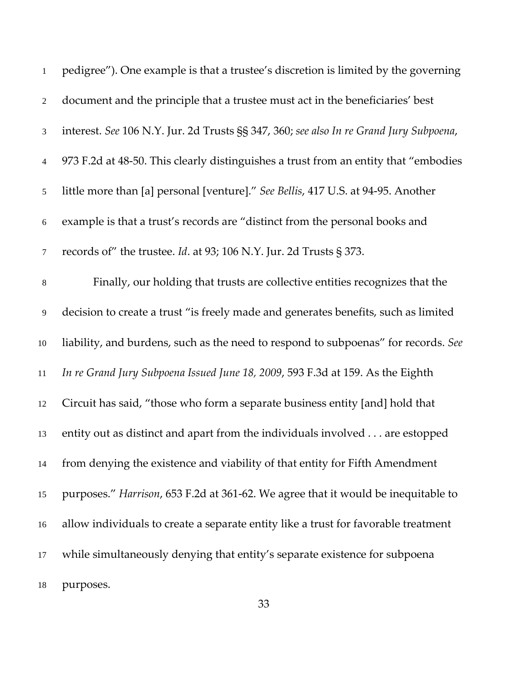| $\mathbf{1}$   | pedigree"). One example is that a trustee's discretion is limited by the governing     |
|----------------|----------------------------------------------------------------------------------------|
| $\overline{2}$ | document and the principle that a trustee must act in the beneficiaries' best          |
| $\mathfrak{Z}$ | interest. See 106 N.Y. Jur. 2d Trusts §§ 347, 360; see also In re Grand Jury Subpoena, |
| $\overline{4}$ | 973 F.2d at 48-50. This clearly distinguishes a trust from an entity that "embodies"   |
| 5              | little more than [a] personal [venture]." See Bellis, 417 U.S. at 94-95. Another       |
| $\sqrt{6}$     | example is that a trust's records are "distinct from the personal books and            |
| 7              | records of" the trustee. <i>Id.</i> at 93; 106 N.Y. Jur. 2d Trusts § 373.              |
| $\,8\,$        | Finally, our holding that trusts are collective entities recognizes that the           |
| $\overline{9}$ | decision to create a trust "is freely made and generates benefits, such as limited     |
| $10\,$         | liability, and burdens, such as the need to respond to subpoenas" for records. See     |
| $11\,$         | In re Grand Jury Subpoena Issued June 18, 2009, 593 F.3d at 159. As the Eighth         |
| 12             | Circuit has said, "those who form a separate business entity [and] hold that           |
| 13             | entity out as distinct and apart from the individuals involved are estopped            |
| 14             | from denying the existence and viability of that entity for Fifth Amendment            |
| 15             | purposes." Harrison, 653 F.2d at 361-62. We agree that it would be inequitable to      |
| 16             | allow individuals to create a separate entity like a trust for favorable treatment     |
| 17             | while simultaneously denying that entity's separate existence for subpoena             |
| 18             | purposes.                                                                              |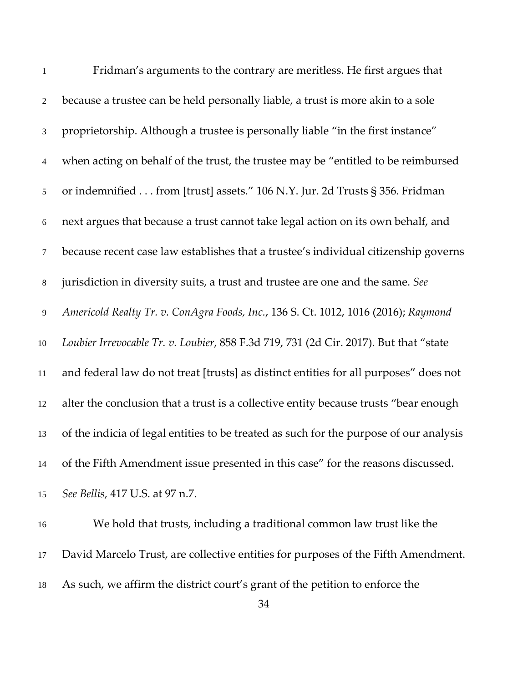| $\mathbf{1}$   | Fridman's arguments to the contrary are meritless. He first argues that                |
|----------------|----------------------------------------------------------------------------------------|
| $\overline{2}$ | because a trustee can be held personally liable, a trust is more akin to a sole        |
| $\mathfrak{Z}$ | proprietorship. Although a trustee is personally liable "in the first instance"        |
| $\overline{4}$ | when acting on behalf of the trust, the trustee may be "entitled to be reimbursed      |
| 5              | or indemnified from [trust] assets." 106 N.Y. Jur. 2d Trusts § 356. Fridman            |
| 6              | next argues that because a trust cannot take legal action on its own behalf, and       |
| $\tau$         | because recent case law establishes that a trustee's individual citizenship governs    |
| $8\,$          | jurisdiction in diversity suits, a trust and trustee are one and the same. See         |
| 9              | Americold Realty Tr. v. ConAgra Foods, Inc., 136 S. Ct. 1012, 1016 (2016); Raymond     |
| 10             | Loubier Irrevocable Tr. v. Loubier, 858 F.3d 719, 731 (2d Cir. 2017). But that "state  |
| 11             | and federal law do not treat [trusts] as distinct entities for all purposes" does not  |
| 12             | alter the conclusion that a trust is a collective entity because trusts "bear enough   |
| 13             | of the indicia of legal entities to be treated as such for the purpose of our analysis |
| 14             | of the Fifth Amendment issue presented in this case" for the reasons discussed.        |
| 15             | See Bellis, 417 U.S. at 97 n.7.                                                        |
| 16             | We hold that trusts, including a traditional common law trust like the                 |

David Marcelo Trust, are collective entities for purposes of the Fifth Amendment.

As such, we affirm the district court's grant of the petition to enforce the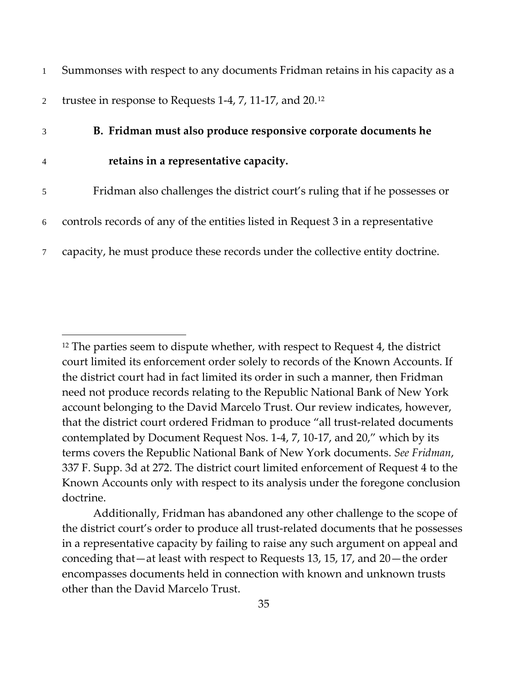| $\mathbf{1}$   | Summonses with respect to any documents Fridman retains in his capacity as a    |
|----------------|---------------------------------------------------------------------------------|
| $\overline{2}$ | trustee in response to Requests 1-4, 7, 11-17, and 20. <sup>12</sup>            |
| 3              | B. Fridman must also produce responsive corporate documents he                  |
| $\overline{4}$ | retains in a representative capacity.                                           |
| 5              | Fridman also challenges the district court's ruling that if he possesses or     |
| 6              | controls records of any of the entities listed in Request 3 in a representative |
| $\tau$         | capacity, he must produce these records under the collective entity doctrine.   |

<span id="page-34-0"></span><sup>&</sup>lt;sup>12</sup> The parties seem to dispute whether, with respect to Request 4, the district court limited its enforcement order solely to records of the Known Accounts. If the district court had in fact limited its order in such a manner, then Fridman need not produce records relating to the Republic National Bank of New York account belonging to the David Marcelo Trust. Our review indicates, however, that the district court ordered Fridman to produce "all trust-related documents contemplated by Document Request Nos. 1-4, 7, 10-17, and 20," which by its terms covers the Republic National Bank of New York documents. *See Fridman*, 337 F. Supp. 3d at 272. The district court limited enforcement of Request 4 to the Known Accounts only with respect to its analysis under the foregone conclusion doctrine.

Additionally, Fridman has abandoned any other challenge to the scope of the district court's order to produce all trust-related documents that he possesses in a representative capacity by failing to raise any such argument on appeal and conceding that—at least with respect to Requests 13, 15, 17, and 20—the order encompasses documents held in connection with known and unknown trusts other than the David Marcelo Trust.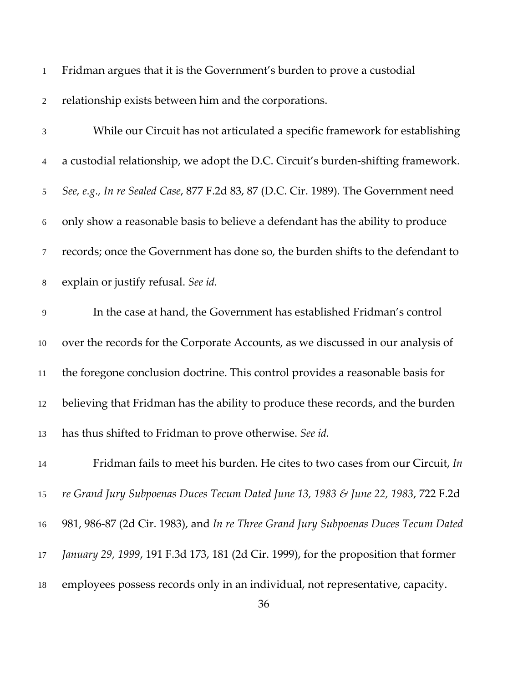| $\mathbf{1}$   | Fridman argues that it is the Government's burden to prove a custodial              |
|----------------|-------------------------------------------------------------------------------------|
| $\overline{2}$ | relationship exists between him and the corporations.                               |
| 3              | While our Circuit has not articulated a specific framework for establishing         |
| 4              | a custodial relationship, we adopt the D.C. Circuit's burden-shifting framework.    |
| 5              | See, e.g., In re Sealed Case, 877 F.2d 83, 87 (D.C. Cir. 1989). The Government need |
| 6              | only show a reasonable basis to believe a defendant has the ability to produce      |
| $\tau$         | records; once the Government has done so, the burden shifts to the defendant to     |
| $8\,$          | explain or justify refusal. See id.                                                 |
| $\overline{9}$ | In the case at hand, the Government has established Fridman's control               |
| $10\,$         | over the records for the Corporate Accounts, as we discussed in our analysis of     |
| 11             | the foregone conclusion doctrine. This control provides a reasonable basis for      |
| 12             | believing that Fridman has the ability to produce these records, and the burden     |
| 13             | has thus shifted to Fridman to prove otherwise. See id.                             |
| 14             | Fridman fails to meet his burden. He cites to two cases from our Circuit, In        |
| 15             | re Grand Jury Subpoenas Duces Tecum Dated June 13, 1983 & June 22, 1983, 722 F.2d   |
| 16             | 981, 986-87 (2d Cir. 1983), and In re Three Grand Jury Subpoenas Duces Tecum Dated  |
| 17             | January 29, 1999, 191 F.3d 173, 181 (2d Cir. 1999), for the proposition that former |
| 18             | employees possess records only in an individual, not representative, capacity.      |